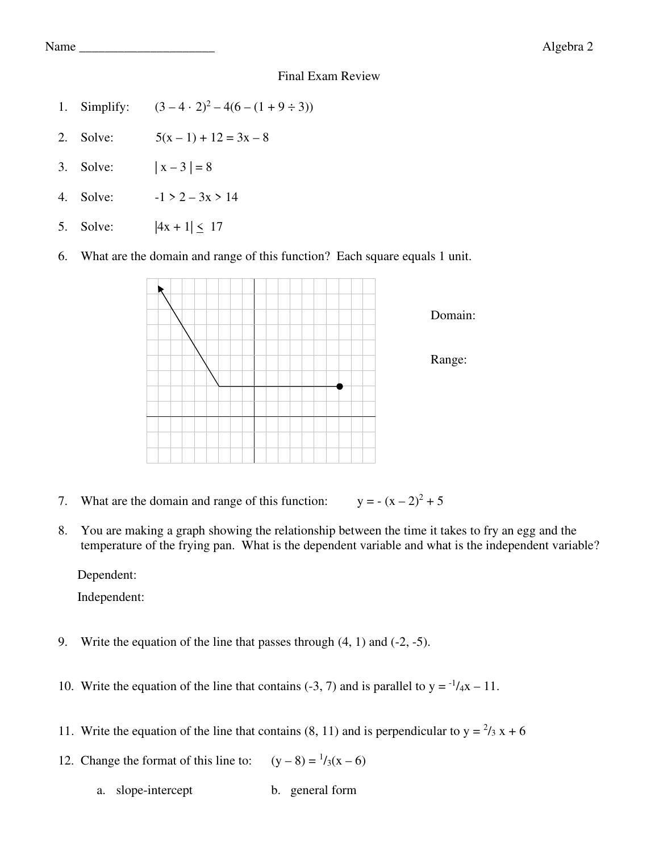- 1. Simplify:  $(3-4\cdot 2)^2 4(6 (1+9\div 3))$
- 2. Solve:  $5(x-1) + 12 = 3x 8$
- 3. Solve:  $|x-3| = 8$
- 4. Solve:  $-1 > 2 3x > 14$
- 5. Solve:  $|4x + 1| \le 17$
- 6. What are the domain and range of this function? Each square equals 1 unit.



- 7. What are the domain and range of this function:  $y = - (x - 2)^2 + 5$
- 8. You are making a graph showing the relationship between the time it takes to fry an egg and the temperature of the frying pan. What is the dependent variable and what is the independent variable?

Dependent:

Independent:

- 9. Write the equation of the line that passes through (4, 1) and (-2, -5).
- 10. Write the equation of the line that contains (-3, 7) and is parallel to  $y = \frac{1}{4}x 11$ .
- 11. Write the equation of the line that contains (8, 11) and is perpendicular to  $y = \frac{2}{3}x + 6$
- 12. Change the format of this line to:  $(y-8) = \frac{1}{3}(x-6)$ 
	- a. slope-intercept b. general form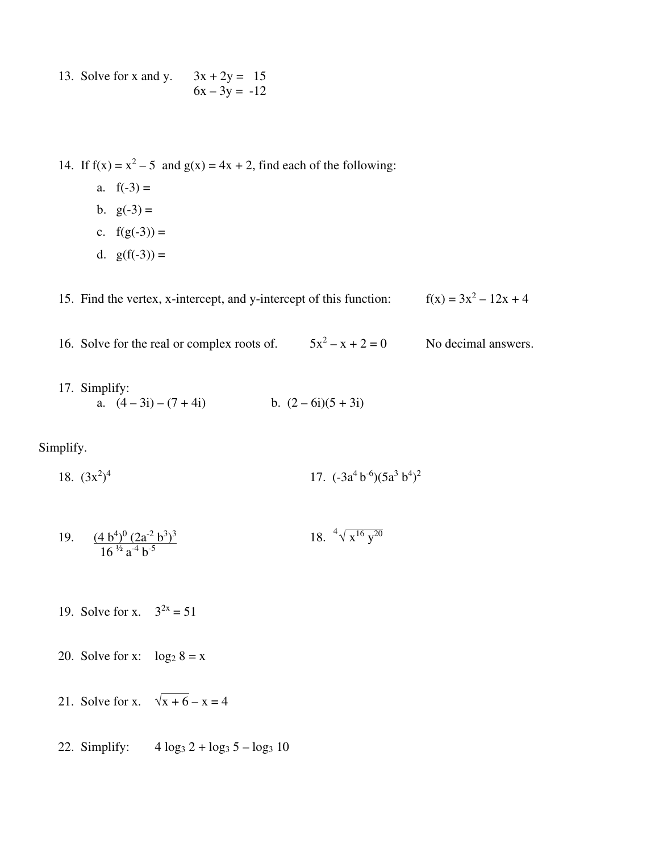13. Solve for x and y.  $3x + 2y = 15$  $6x - 3y = -12$ 

14. If  $f(x) = x^2 - 5$  and  $g(x) = 4x + 2$ , find each of the following:

- a.  $f(-3) =$
- b.  $g(-3) =$
- c.  $f(g(-3)) =$
- d.  $g(f(-3)) =$

15. Find the vertex,  $x$ -intercept, and  $y$ -intercept of this function:  $f(x) = 3x^2 - 12x + 4$ 

16. Solve for the real or complex roots of.  $5x^2 - x + 2 = 0$ No decimal answers.

17. Simplify:<br>
a.  $(4-3i)-(7+4i)$ b.  $(2 - 6i)(5 + 3i)$ 

Simplify.

18.  $(3x^2)^4$ 17.  $(-3a^4b^{-6})(5a^3b^4)^2$ 

19. 
$$
\frac{(4 b^4)^0 (2a^2 b^3)^3}{16^{1/2} a^4 b^{-5}}
$$
 18.  ${}^4 \sqrt{x^{16} y^{20}}$ 

19. Solve for x.  $3^{2x} = 51$ 

20. Solve for x:  $\log_2 8 = x$ 

- 21. Solve for x.  $\sqrt{x+6} x = 4$
- 22. Simplify:  $4 \log_3 2 + \log_3 5 \log_3 10$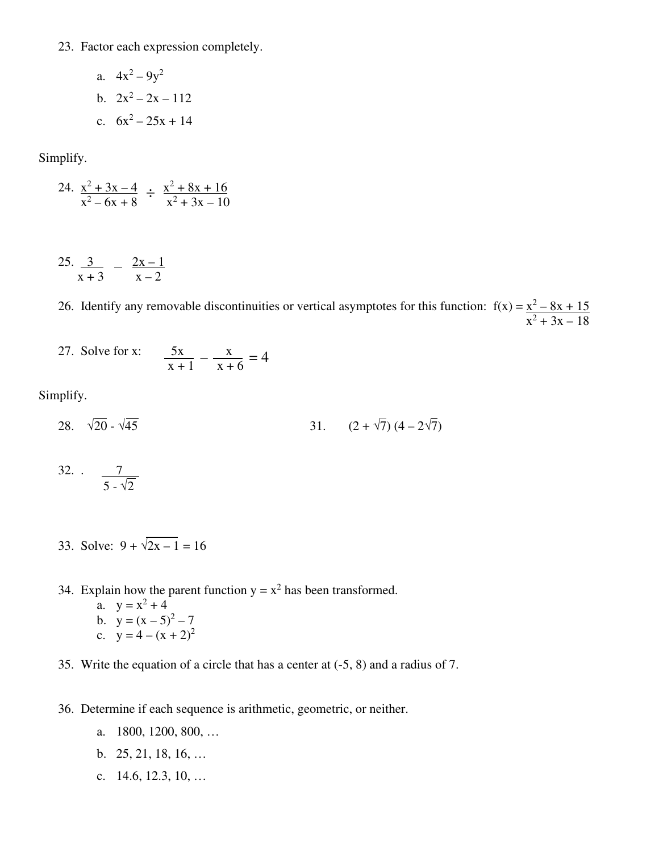23. Factor each expression completely.

a. 
$$
4x^2 - 9y^2
$$
  
b.  $2x^2 - 2x - 112$   
c.  $6x^2 - 25x + 14$ 

Simplify.

$$
24. \frac{x^2 + 3x - 4}{x^2 - 6x + 8} \div \frac{x^2 + 8x + 16}{x^2 + 3x - 10}
$$

25.  $3 \frac{3}{2} \frac{2x-1}{x}$  $x + 3$   $x - 2$ 

> 26. Identify any removable discontinuities or vertical asymptotes for this function:  $f(x) = \frac{x^2 - 8x + 15}{x}$  $x^2 + 3x - 18$

27. Solve for  $x:$  5x  $x:$ 27. Solve for x.  $\frac{3x}{x+1} - \frac{x}{x+6} = 4$ 

Simplify.

- 28.  $\sqrt{20} \sqrt{45}$  31.  $(2 + \sqrt{7}) (4 2\sqrt{7})$
- 32. . <u>7</u>  $5 - \sqrt{2}$ 
	- 33. Solve:  $9 + \sqrt{2x 1} = 16$
	- 34. Explain how the parent function  $y = x^2$  has been transformed.
		- a.  $y = x^2 + 4$
		- b.  $y = (x 5)^2 7$
		- c.  $y = 4 (x + 2)^2$
	- 35. Write the equation of a circle that has a center at (-5, 8) and a radius of 7.
	- 36. Determine if each sequence is arithmetic, geometric, or neither.
		- a. 1800, 1200, 800, …
		- b. 25, 21, 18, 16, …
		- c. 14.6, 12.3, 10, …